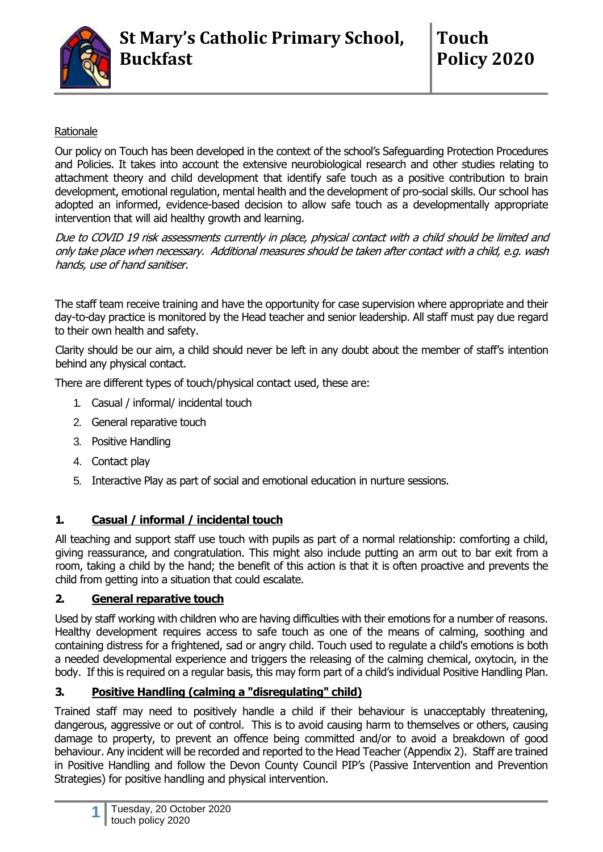

## Rationale

Our policy on Touch has been developed in the context of the school's Safeguarding Protection Procedures and Policies. It takes into account the extensive neurobiological research and other studies relating to attachment theory and child development that identify safe touch as a positive contribution to brain development, emotional regulation, mental health and the development of pro-social skills. Our school has adopted an informed, evidence-based decision to allow safe touch as a developmentally appropriate intervention that will aid healthy growth and learning.

Due to COVID 19 risk assessments currently in place, physical contact with a child should be limited and only take place when necessary. Additional measures should be taken after contact with a child, e.g. wash hands, use of hand sanitiser.

The staff team receive training and have the opportunity for case supervision where appropriate and their day-to-day practice is monitored by the Head teacher and senior leadership. All staff must pay due regard to their own health and safety.

Clarity should be our aim, a child should never be left in any doubt about the member of staff's intention behind any physical contact.

There are different types of touch/physical contact used, these are:

- 1. Casual / informal/ incidental touch
- 2. General reparative touch
- 3. Positive Handling
- 4. Contact play
- 5. Interactive Play as part of social and emotional education in nurture sessions.

# **1. Casual / informal / incidental touch**

All teaching and support staff use touch with pupils as part of a normal relationship: comforting a child, giving reassurance, and congratulation. This might also include putting an arm out to bar exit from a room, taking a child by the hand; the benefit of this action is that it is often proactive and prevents the child from getting into a situation that could escalate.

#### **2. General reparative touch**

Used by staff working with children who are having difficulties with their emotions for a number of reasons. Healthy development requires access to safe touch as one of the means of calming, soothing and containing distress for a frightened, sad or angry child. Touch used to regulate a child's emotions is both a needed developmental experience and triggers the releasing of the calming chemical, oxytocin, in the body. If this is required on a regular basis, this may form part of a child's individual Positive Handling Plan.

# **3. Positive Handling (calming a "disregulating" child)**

Trained staff may need to positively handle a child if their behaviour is unacceptably threatening, dangerous, aggressive or out of control. This is to avoid causing harm to themselves or others, causing damage to property, to prevent an offence being committed and/or to avoid a breakdown of good behaviour. Any incident will be recorded and reported to the Head Teacher (Appendix 2). Staff are trained in Positive Handling and follow the Devon County Council PIP's (Passive Intervention and Prevention Strategies) for positive handling and physical intervention.

**1**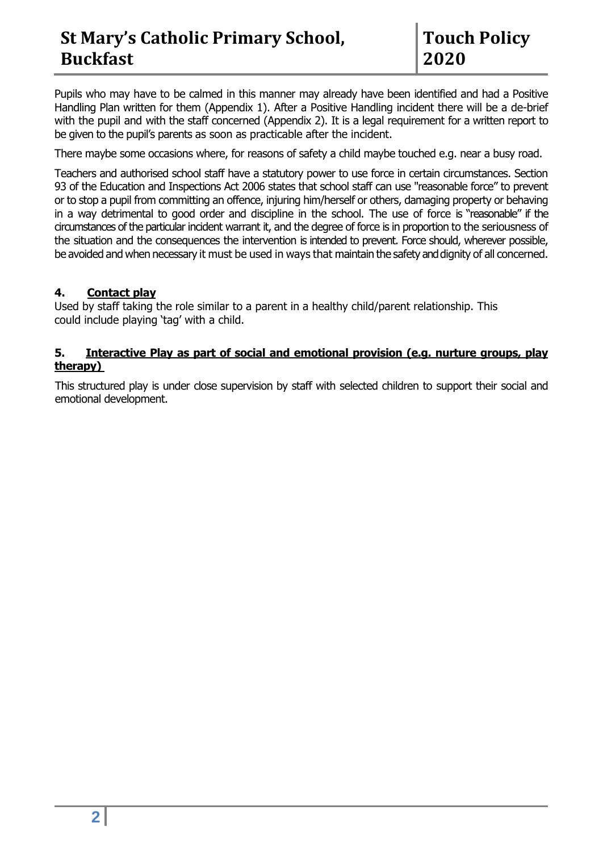Pupils who may have to be calmed in this manner may already have been identified and had a Positive Handling Plan written for them (Appendix 1). After a Positive Handling incident there will be a de-brief with the pupil and with the staff concerned (Appendix 2). It is a legal requirement for a written report to be given to the pupil's parents as soon as practicable after the incident.

There maybe some occasions where, for reasons of safety a child maybe touched e.g. near a busy road.

Teachers and authorised school staff have a statutory power to use force in certain circumstances. Section 93 of the Education and Inspections Act 2006 states that school staff can use "reasonable force" to prevent or to stop a pupil from committing an offence, injuring him/herself or others, damaging property or behaving in a way detrimental to good order and discipline in the school. The use of force is "reasonable" if the circumstances of the particular incident warrant it, and the degree of force is in proportion to the seriousness of the situation and the consequences the intervention is intended to prevent. Force should, wherever possible, be avoided and when necessary it must be used in ways that maintain the safety and dignity of all concerned.

#### **4. Contact play**

Used by staff taking the role similar to a parent in a healthy child/parent relationship. This could include playing 'tag' with a child.

#### **5. Interactive Play as part of social and emotional provision (e.g. nurture groups, play therapy)**

This structured play is under close supervision by staff with selected children to support their social and emotional development.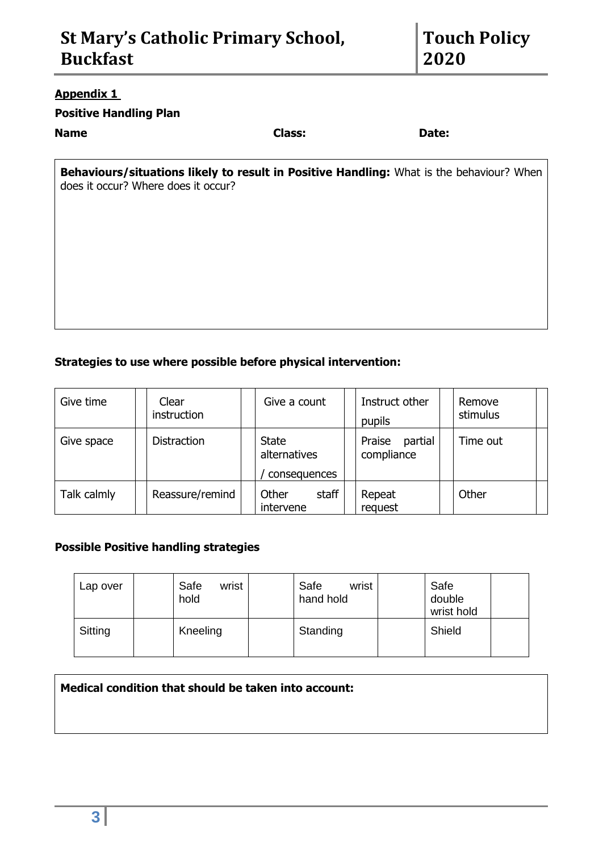#### **Appendix 1**

### **Positive Handling Plan**

#### **Name Class: Date:**

|  | Jiass: |  |
|--|--------|--|
|  |        |  |
|  |        |  |

**Behaviours/situations likely to result in Positive Handling:** What is the behaviour? When does it occur? Where does it occur?

## **Strategies to use where possible before physical intervention:**

| Give time   | Clear<br>instruction | Give a count                                 | Instruct other<br>pupils        | Remove<br>stimulus |
|-------------|----------------------|----------------------------------------------|---------------------------------|--------------------|
| Give space  | <b>Distraction</b>   | <b>State</b><br>alternatives<br>consequences | Praise<br>partial<br>compliance | Time out           |
| Talk calmly | Reassure/remind      | staff<br>Other<br>intervene                  | Repeat<br>request               | Other              |

#### **Possible Positive handling strategies**

| Lap over | Safe<br>wrist<br>hold | Safe<br>wrist<br>hand hold | Safe<br>double<br>wrist hold |  |
|----------|-----------------------|----------------------------|------------------------------|--|
| Sitting  | Kneeling              | Standing                   | Shield                       |  |

# **Medical condition that should be taken into account:**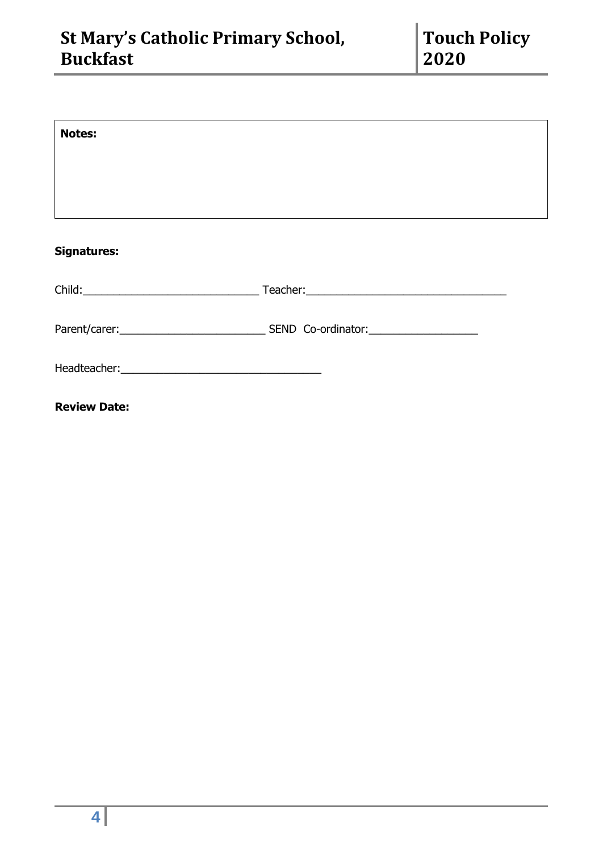| <b>Notes:</b>       |  |
|---------------------|--|
|                     |  |
|                     |  |
|                     |  |
| <b>Signatures:</b>  |  |
|                     |  |
|                     |  |
|                     |  |
| <b>Review Date:</b> |  |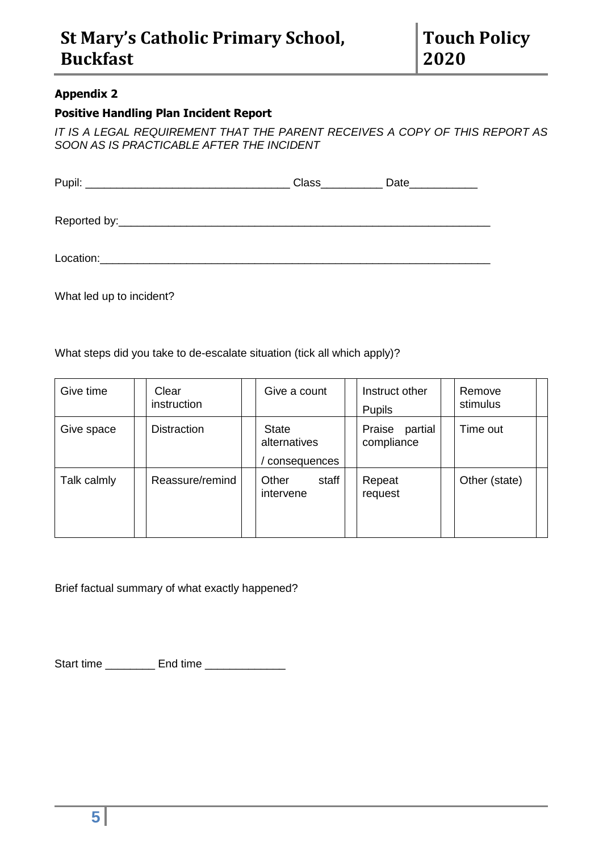#### **Appendix 2**

### **Positive Handling Plan Incident Report**

*IT IS A LEGAL REQUIREMENT THAT THE PARENT RECEIVES A COPY OF THIS REPORT AS SOON AS IS PRACTICABLE AFTER THE INCIDENT*

|           | $\overline{\text{Class}}$ | Date |
|-----------|---------------------------|------|
|           |                           |      |
| Location: |                           |      |

What led up to incident?

What steps did you take to de-escalate situation (tick all which apply)?

| Give time   | Clear<br>instruction | Give a count                                 | Instruct other<br><b>Pupils</b> | Remove<br>stimulus |
|-------------|----------------------|----------------------------------------------|---------------------------------|--------------------|
| Give space  | <b>Distraction</b>   | <b>State</b><br>alternatives<br>consequences | Praise<br>partial<br>compliance | Time out           |
| Talk calmly | Reassure/remind      | staff<br>Other<br>intervene                  | Repeat<br>request               | Other (state)      |

Brief factual summary of what exactly happened?

Start time \_\_\_\_\_\_\_\_\_\_\_ End time \_\_\_\_\_\_\_\_\_\_\_\_\_\_